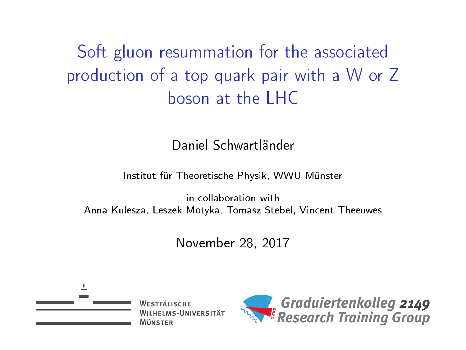Soft gluon resummation for the associated production of a top quark pair with a W or Z boson at the LHC

Daniel Schwartländer

Institut für Theoretische Physik, WWU Münster

in collaboration with Anna Kulesza, Leszek Motyka, Tomasz Stebel, Vincent Theeuwes

November 28, 2017



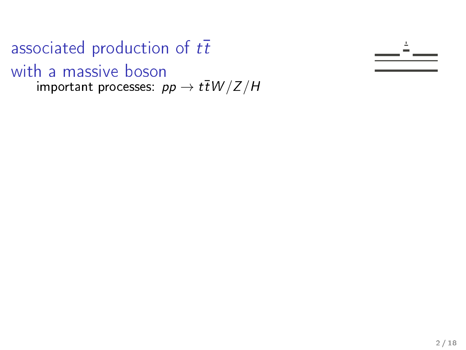associated production of  $t\bar{t}$ with a massive boson important processes:  $pp \rightarrow t\bar{t}W/Z/H$ 

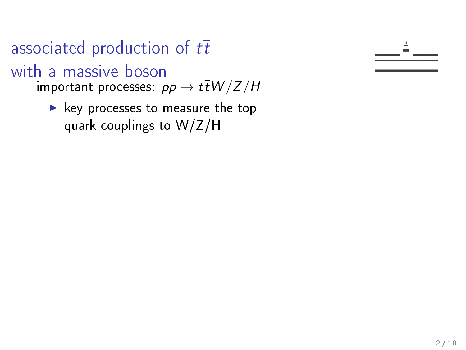# associated production of  $t\bar{t}$ with a massive boson

important processes:  $pp \rightarrow t\bar{t}W/Z/H$ 

 $\blacktriangleright$  key processes to measure the top quark couplings to W/Z/H

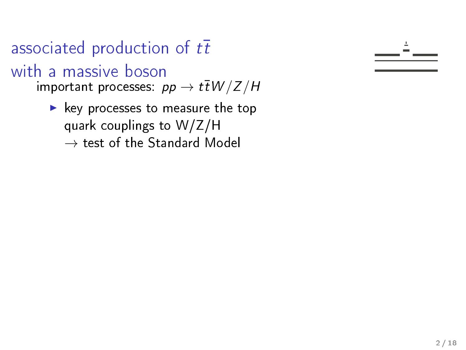associated production of  $t\bar{t}$ with a massive boson important processes:  $pp \rightarrow t\bar{t}W/Z/H$ 

> $\blacktriangleright$  key processes to measure the top quark couplings to W/Z/H  $\rightarrow$  test of the Standard Model

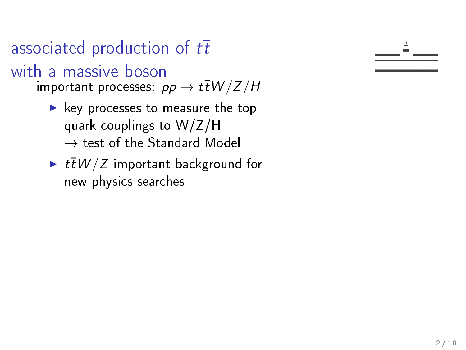with a massive boson

important processes:  $pp \rightarrow t\bar{t}W/Z/H$ 

- $\blacktriangleright$  key processes to measure the top quark couplings to W/Z/H  $\rightarrow$  test of the Standard Model
- $\blacktriangleright$  t $\bar{t}W/Z$  important background for new physics searches

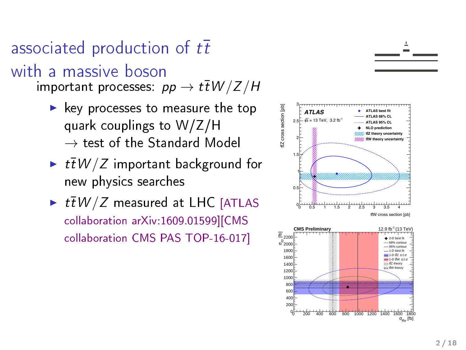with a massive boson

important processes:  $pp \to t\bar{t}W/Z/H$ 

- $\blacktriangleright$  key processes to measure the top quark couplings to W/Z/H  $\rightarrow$  test of the Standard Model
- $\blacktriangleright$  t $\overline{t}W/Z$  important background for new physics searches
- $\blacktriangleright$   $t\bar{t}W/Z$  measured at LHC [ATLAS collaboration arXiv:1609.01599][CMS collaboration CMS PAS TOP-16-017]



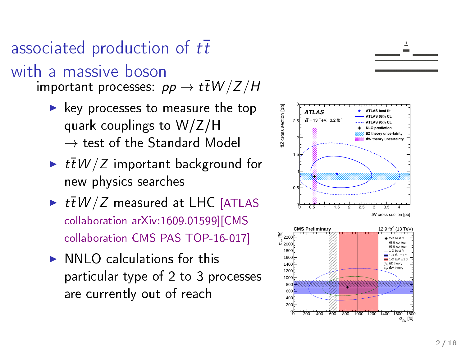with a massive boson

 $\mathsf{important}$  processes:  $p p \to t\bar{t} W/Z/H$ 

- $\blacktriangleright$  key processes to measure the top quark couplings to W/Z/H  $\rightarrow$  test of the Standard Model
- $\blacktriangleright$   $t\bar{t}$   $W/Z$  important background for new physics searches
- $\blacktriangleright$   $t\bar{t}$   $W/Z$  measured at LHC [ATLAS collaboration arXiv:1609.01599][CMS collaboration CMS PAS TOP-16-017]
- $\triangleright$  NNLO calculations for this particular type of 2 to 3 processes are currently out of reach



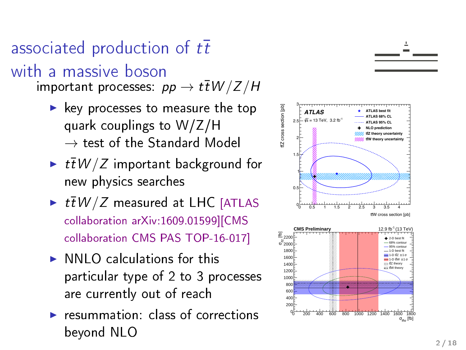with a massive boson

 $\mathsf{important}$  processes:  $p p \to t\bar{t} W/Z/H$ 

- $\blacktriangleright$  key processes to measure the top quark couplings to W/Z/H  $\rightarrow$  test of the Standard Model
- $\blacktriangleright$   $t\bar{t}$   $W/Z$  important background for new physics searches
- $\blacktriangleright$   $t\bar{t}$   $W/Z$  measured at LHC [ATLAS collaboration arXiv:1609.01599][CMS collaboration CMS PAS TOP-16-017]
- $\triangleright$  NNLO calculations for this particular type of 2 to 3 processes are currently out of reach
- $\triangleright$  resummation: class of corrections beyond NLO



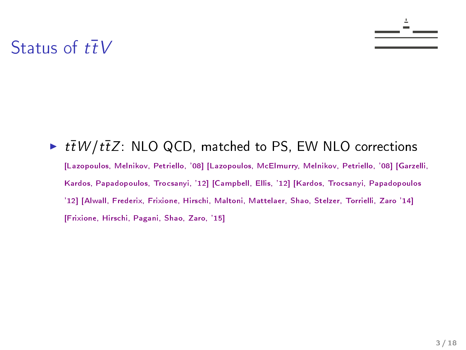#### Status of  $t\bar{t}V$

 $\blacktriangleright$   $t\bar{t}W/t\bar{t}Z$ : NLO QCD, matched to PS, EW NLO corrections [Lazopoulos, Melnikov, Petriello, '08] [Lazopoulos, McElmurry, Melnikov, Petriello, '08] [Garzelli, Kardos, Papadopoulos, Trocsanyi, '12] [Campbell, Ellis, '12] [Kardos, Trocsanyi, Papadopoulos '12] [Alwall, Frederix, Frixione, Hirschi, Maltoni, Mattelaer, Shao, Stelzer, Torrielli, Zaro '14] [Frixione, Hirschi, Pagani, Shao, Zaro, '15]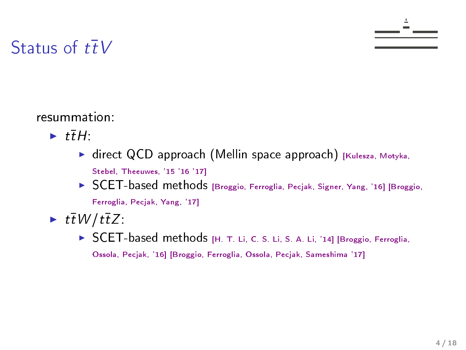#### Status of  $t\bar{t}V$

- $\blacktriangleright$  ttH:
	- $\triangleright$  direct QCD approach (Mellin space approach) [Kulesza, Motyka, Stebel, Theeuwes, '15 '16 '17]
	- ▶ SCET-based methods [Broggio, Ferroglia, Pecjak, Signer, Yang, '16] [Broggio, Ferroglia, Pecjak, Yang, '17]
- $\blacktriangleright$  ttW/ttZ:
	- ▶ SCET-based methods [H. T. Li, C. S. Li, S. A. Li, '14] [Broggio, Ferroglia, Ossola, Pecjak, '16] [Broggio, Ferroglia, Ossola, Pecjak, Sameshima '17]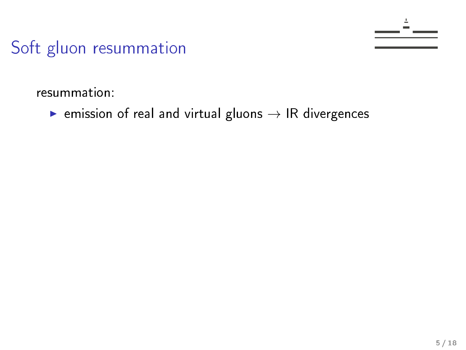resummation:

 $\triangleright$  emission of real and virtual gluons  $\rightarrow$  IR divergences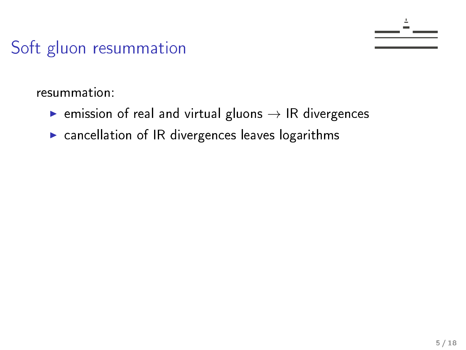- $\blacktriangleright$  emission of real and virtual gluons  $\rightarrow$  IR divergences
- $\triangleright$  cancellation of IR divergences leaves logarithms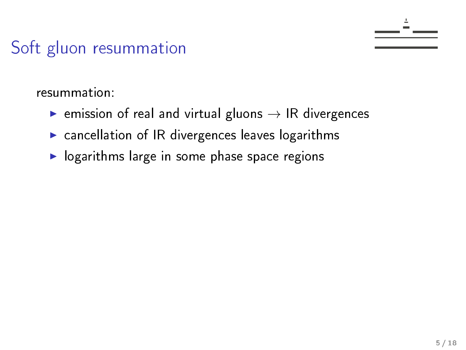- **EX** emission of real and virtual gluons  $\rightarrow$  IR divergences
- $\triangleright$  cancellation of IR divergences leaves logarithms
- $\blacktriangleright$  logarithms large in some phase space regions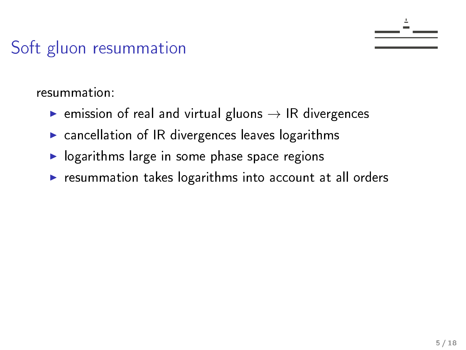- $\triangleright$  emission of real and virtual gluons  $\rightarrow$  IR divergences
- $\triangleright$  cancellation of IR divergences leaves logarithms
- $\blacktriangleright$  logarithms large in some phase space regions
- $\blacktriangleright$  resummation takes logarithms into account at all orders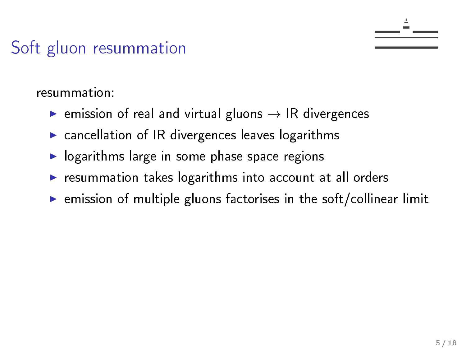- **EX** emission of real and virtual gluons  $\rightarrow$  IR divergences
- $\triangleright$  cancellation of IR divergences leaves logarithms
- $\blacktriangleright$  logarithms large in some phase space regions
- $\blacktriangleright$  resummation takes logarithms into account at all orders
- $\triangleright$  emission of multiple gluons factorises in the soft/collinear limit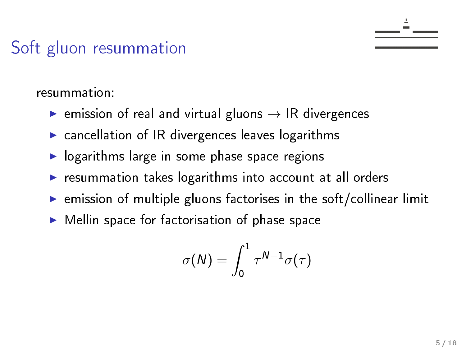- **EX** emission of real and virtual gluons  $\rightarrow$  IR divergences
- $\triangleright$  cancellation of IR divergences leaves logarithms
- $\blacktriangleright$  logarithms large in some phase space regions
- $\blacktriangleright$  resummation takes logarithms into account at all orders
- $\triangleright$  emission of multiple gluons factorises in the soft/collinear limit
- $\blacktriangleright$  Mellin space for factorisation of phase space

$$
\sigma(N)=\int_0^1\tau^{N-1}\sigma(\tau)
$$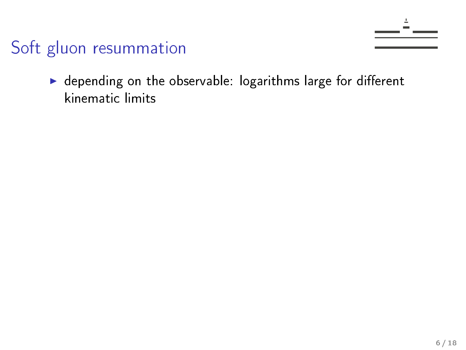$\blacktriangleright$  depending on the observable: logarithms large for different kinematic limits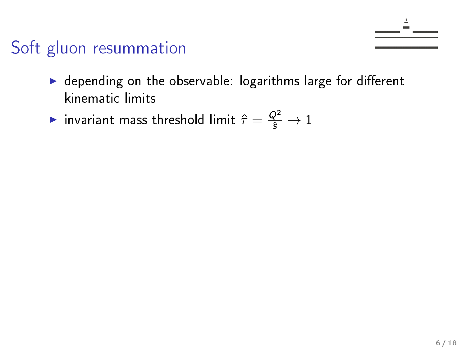- $\blacktriangleright$  depending on the observable: logarithms large for different kinematic limits
- $\blacktriangleright$  invariant mass threshold limit  $\hat{\tau} = \frac{Q^2}{\hat{s}} \to 1$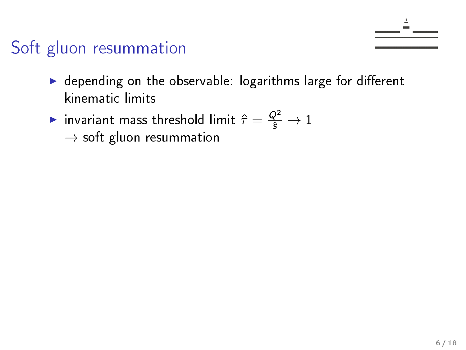- $\blacktriangleright$  depending on the observable: logarithms large for different kinematic limits
- $\blacktriangleright$  invariant mass threshold limit  $\hat{\tau} = \frac{Q^2}{\hat{s}} \to 1$  $\rightarrow$  soft gluon resummation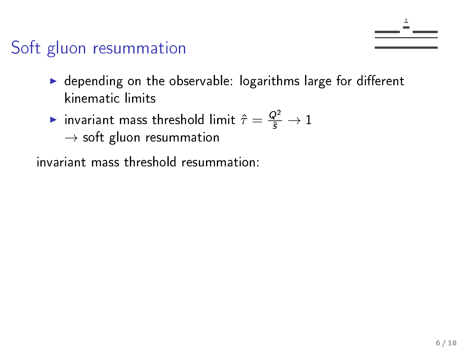- $\blacktriangleright$  depending on the observable: logarithms large for different kinematic limits
- $\blacktriangleright$  invariant mass threshold limit  $\hat{\tau} = \frac{Q^2}{\hat{s}} \to 1$  $\rightarrow$  soft gluon resummation

invariant mass threshold resummation: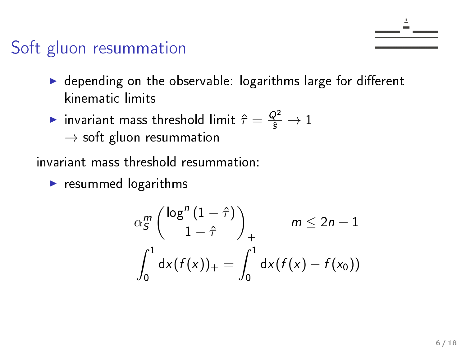- $\blacktriangleright$  depending on the observable: logarithms large for different kinematic limits
- $\blacktriangleright$  invariant mass threshold limit  $\hat{\tau} = \frac{Q^2}{\hat{s}} \to 1$  $\rightarrow$  soft gluon resummation
- invariant mass threshold resummation:
	- $\blacktriangleright$  resummed logarithms

$$
\alpha_S^m \left( \frac{\log^n (1 - \hat{\tau})}{1 - \hat{\tau}} \right)_+ \qquad m \le 2n - 1
$$
  

$$
\int_0^1 dx (f(x))_+ = \int_0^1 dx (f(x) - f(x_0))
$$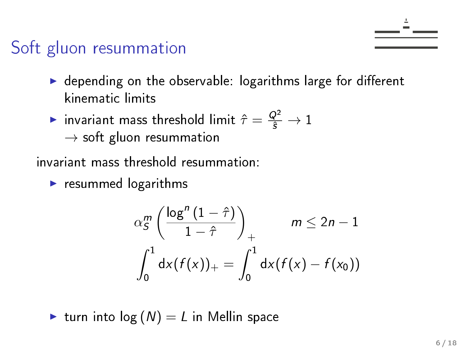- $\blacktriangleright$  depending on the observable: logarithms large for different kinematic limits
- $\blacktriangleright$  invariant mass threshold limit  $\hat{\tau} = \frac{Q^2}{\hat{s}} \to 1$  $\rightarrow$  soft gluon resummation

invariant mass threshold resummation:

 $\blacktriangleright$  resummed logarithms

$$
\alpha_S^m \left( \frac{\log^n (1 - \hat{\tau})}{1 - \hat{\tau}} \right)_+ \qquad m \le 2n - 1
$$
  

$$
\int_0^1 dx (f(x))_+ = \int_0^1 dx (f(x) - f(x_0))
$$

$$
\blacktriangleright
$$
 turn into  $\log(N) = L$  in Mellin space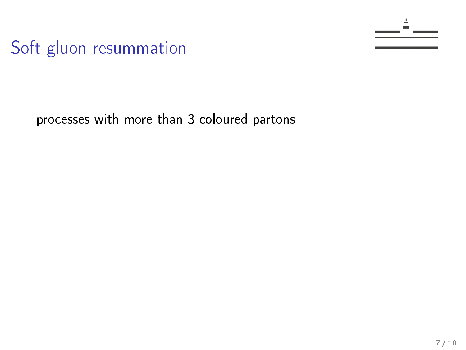processes with more than 3 coloured partons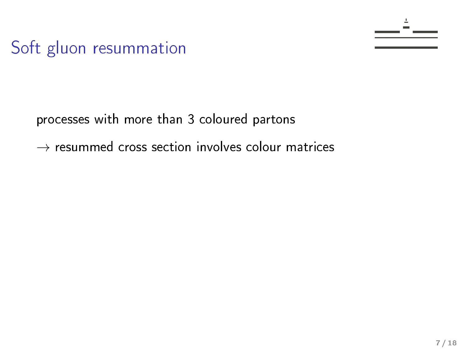processes with more than 3 coloured partons

 $\rightarrow$  resummed cross section involves colour matrices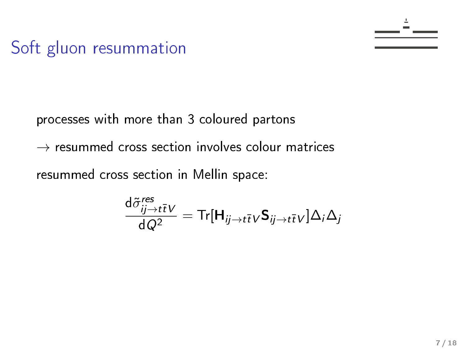processes with more than 3 coloured partons

 $\rightarrow$  resummed cross section involves colour matrices

resummed cross section in Mellin space:

$$
\frac{\mathrm{d}\tilde{\sigma}_{ij\to t\bar{t}V}^{res}}{\mathrm{d}Q^{2}} = \mathrm{Tr}[\mathbf{H}_{ij\to t\bar{t}V}\mathbf{S}_{ij\to t\bar{t}V}]\Delta_{i}\Delta_{j}
$$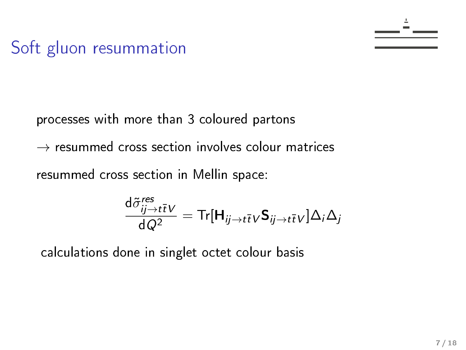processes with more than 3 coloured partons

 $\rightarrow$  resummed cross section involves colour matrices

resummed cross section in Mellin space:

$$
\frac{\mathrm{d} \tilde{\sigma}^{res}_{ij \rightarrow t\bar{t}} \nu }{\mathrm{d} \, Q^2} = \mathsf{Tr}[\mathbf{H}_{ij \rightarrow t\bar{t}} \nu \mathbf{S}_{ij \rightarrow t\bar{t} \nu}] \Delta_i \Delta_j
$$

calculations done in singlet octet colour basis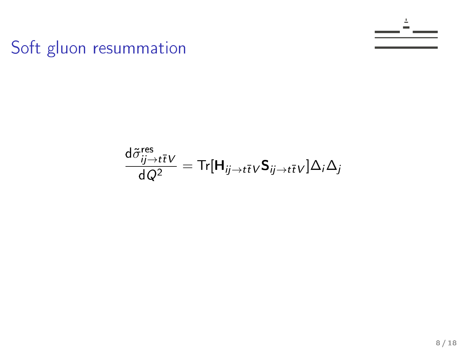$$
\frac{\text{d}\tilde{\sigma}^{\text{res}}_{ij\to t\bar{t}}\nu}{\text{d}\,Q^2} = \text{Tr}[\mathbf{H}_{ij\to t\bar{t}}\nu\mathbf{S}_{ij\to t\bar{t}}\nu]\Delta_i\Delta_j
$$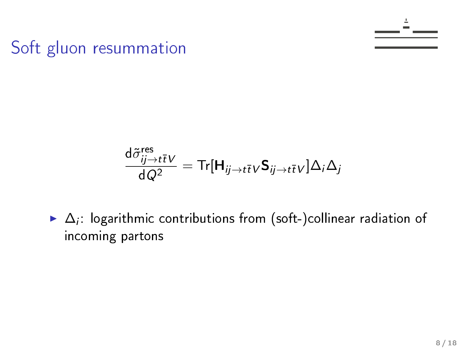$$
\frac{\text{d}\tilde{\sigma}^{\text{res}}_{ij\rightarrow t\bar{t}}\nu}{\text{d} \hspace{0.05cm}Q^2} = \text{Tr}[\textbf{H}_{ij\rightarrow t\bar{t}}\nu\textbf{S}_{ij\rightarrow t\bar{t}\nu}]\Delta_i\Delta_j
$$

 $\blacktriangleright$   $\Delta_i$ : logarithmic contributions from (soft-)collinear radiation of incoming partons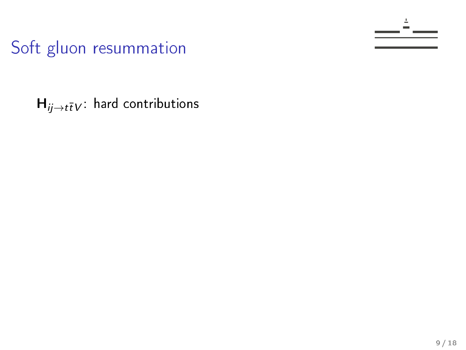$H_{ij\rightarrow t\bar{t}V}$ : hard contributions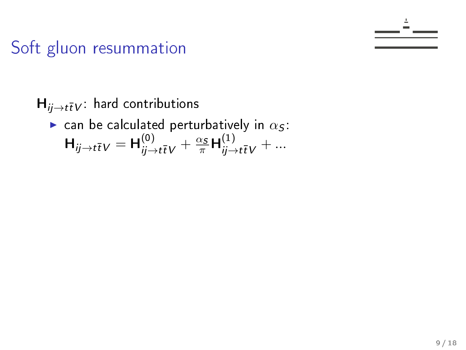$H_{ii\rightarrow t\bar{t}V}$ : hard contributions ightharpoonup can be calculated perturbatively in  $\alpha_s$ :  $H_{ij \to t\bar{t}V} = H_{ij \to t\bar{t}V}^{(0)} + \frac{\alpha_S}{\pi} H_{ij \to t\bar{t}V}^{(1)} + ...$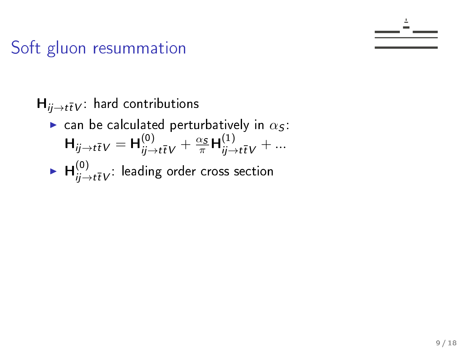H<sub>ij→t</sub>
$$
\bar{t}V
$$
: hard contributions  
\n► can be calculated perturbatively in  $\alpha_S$ :  
\nH<sub>ij→t</sub> $\bar{t}V$  = H<sup>(0)</sup> <sub>$\bar{y}$ →t</sub> $\bar{t}V$  +  $\frac{\alpha_S}{\pi}$ H<sup>(1)</sup> <sub>$\bar{y}$ →t</sub> $\bar{t}V$  + ...  
\n► H<sup>(0)</sup> <sub>$\bar{y}$ →t</sub> $\bar{t}V$ : leading order cross section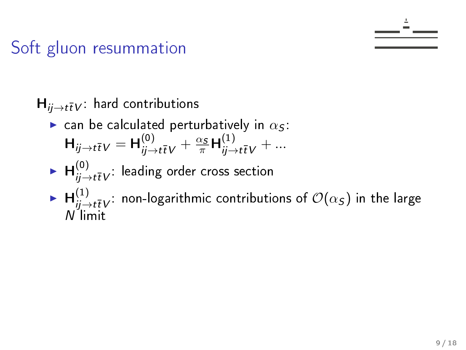$H_{ii\rightarrow t\bar{t}V}$ : hard contributions ightharpoonup can be calculated perturbatively in  $\alpha_S$ :  $H_{ij \to t\bar{t}V} = H_{ij \to t\bar{t}V}^{(0)} + \frac{\alpha_S}{\pi} H_{ij \to t\bar{t}V}^{(1)} + ...$  $\blacktriangleright$   $\bm{\mathsf{H}}_{ij\to t\bar{t}V}^{(0)}$ : leading order cross section  $\blacktriangleright$   $\bm{\mathsf{H}}_{ij \to t\bar{t}V}^{(1)}$ : non-logarithmic contributions of  $\mathcal{O}(\alpha_{\mathcal{S}})$  in the large N limit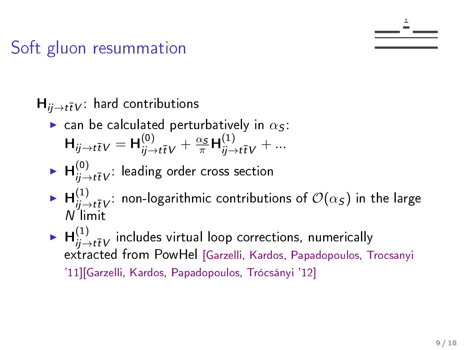$H_{ii\rightarrow t\bar{t}V}$ : hard contributions  $\blacktriangleright$  can be calculated perturbatively in  $\alpha_S$ :  $H_{ij \to t\bar{t}V} = H_{ij \to t\bar{t}V}^{(0)} + \frac{\alpha_S}{\pi} H_{ij \to t\bar{t}V}^{(1)} + ...$  $\blacktriangleright$   $\bm{\mathsf{H}}_{ij\to t\bar{t}V}^{(0)}$ : leading order cross section  $\blacktriangleright$   $\bm{\mathsf{H}}_{ij \to t\bar{t}V}^{(1)}$ : non-logarithmic contributions of  $\mathcal{O}(\alpha_{\mathcal{S}})$  in the large N limit  $\blacktriangleright$   $\bm{\mathsf{H}}_{ij \to t\overline{t}V}^{(1)}$  includes virtual loop corrections, numerically extracted from PowHel [Garzelli, Kardos, Papadopoulos, Trocsanyi '11][Garzelli, Kardos, Papadopoulos, Trócsányi '12]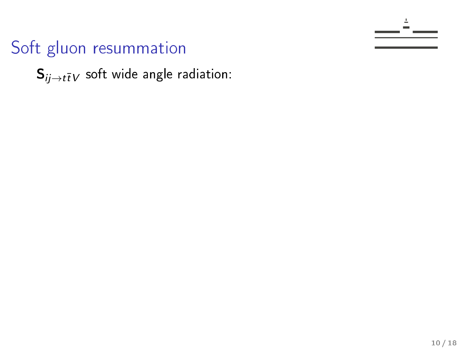$S_{ij\rightarrow t\bar{t}V}$  soft wide angle radiation: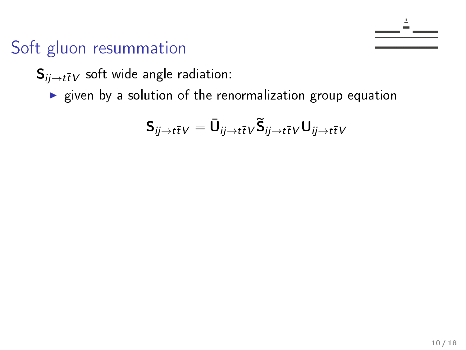$S_{ij \to t\bar{t}V}$  soft wide angle radiation:

 $\triangleright$  given by a solution of the renormalization group equation

$$
\boldsymbol{\mathsf{S}}_{ij\rightarrow t\overline{t}V}=\bar{\boldsymbol{\mathsf{U}}}_{ij\rightarrow t\overline{t}V}\widetilde{\boldsymbol{\mathsf{S}}}_{ij\rightarrow t\overline{t}V}\boldsymbol{\mathsf{U}}_{ij\rightarrow t\overline{t}V}
$$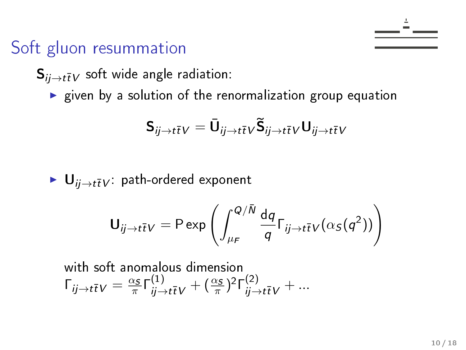$S_{ii\rightarrow t\bar{t}V}$  soft wide angle radiation:

 $\triangleright$  given by a solution of the renormalization group equation

$$
\boldsymbol{\mathsf{S}}_{ij\rightarrow t\bar{t}V}=\bar{\boldsymbol{\mathsf{U}}}_{ij\rightarrow t\bar{t}V}\widetilde{\boldsymbol{\mathsf{S}}}_{ij\rightarrow t\bar{t}V}\boldsymbol{\mathsf{U}}_{ij\rightarrow t\bar{t}V}
$$

 $\blacktriangleright$   $\bigcup_{ii \to t\bar{t}V}$ : path-ordered exponent

$$
\mathbf{U}_{ij \to t\bar{t}V} = \mathsf{P} \exp \left( \int_{\mu_F}^{Q/\bar{N}} \frac{\mathrm{d}q}{q} \Gamma_{ij \to t\bar{t}V} (\alpha_S(q^2)) \right)
$$

with soft anomalous dimension  $\Gamma_{ij \to t\bar{t}}V = \frac{\alpha_S}{\pi}$  $\frac{\alpha_S}{\pi}\Gamma^{(1)}_{ij\rightarrow t\bar{t}V} + (\frac{\alpha_S}{\pi})^2\Gamma^{(2)}_{ij\rightarrow t\bar{t}V} + ...$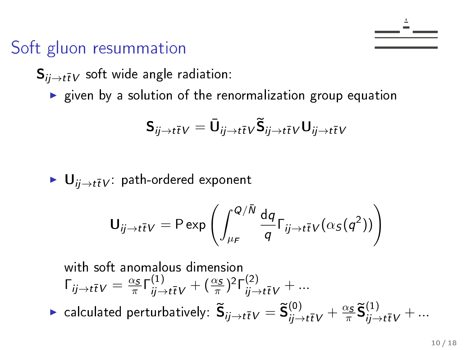$S_{ii\rightarrow t\bar{t}V}$  soft wide angle radiation:

 $\triangleright$  given by a solution of the renormalization group equation

$$
\boldsymbol{\mathsf{S}}_{ij\rightarrow t\bar{t}V}=\bar{\boldsymbol{\mathsf{U}}}_{ij\rightarrow t\bar{t}V}\widetilde{\boldsymbol{\mathsf{S}}}_{ij\rightarrow t\bar{t}V}\boldsymbol{\mathsf{U}}_{ij\rightarrow t\bar{t}V}
$$

 $\blacktriangleright$   $\bigcup_{ii \to t\bar{t}V}$ : path-ordered exponent

$$
\mathbf{U}_{ij \to t\bar{t}V} = \text{P} \exp \left( \int_{\mu_F}^{Q/\bar{N}} \frac{\mathrm{d}q}{q} \Gamma_{ij \to t\bar{t}V} (\alpha_S(q^2)) \right)
$$

with soft anomalous dimension  
\n
$$
\Gamma_{ij \to t\bar{t}V} = \frac{\alpha_S}{\pi} \Gamma^{(1)}_{ij \to t\bar{t}V} + (\frac{\alpha_S}{\pi})^2 \Gamma^{(2)}_{ij \to t\bar{t}V} + ...
$$
\n
$$
\blacktriangleright \text{ calculated perturbatively: } \widetilde{\mathbf{S}}_{ij \to t\bar{t}V} = \widetilde{\mathbf{S}}^{(0)}_{ij \to t\bar{t}V} + \frac{\alpha_S}{\pi} \widetilde{\mathbf{S}}^{(1)}_{ij \to t\bar{t}V} + ...
$$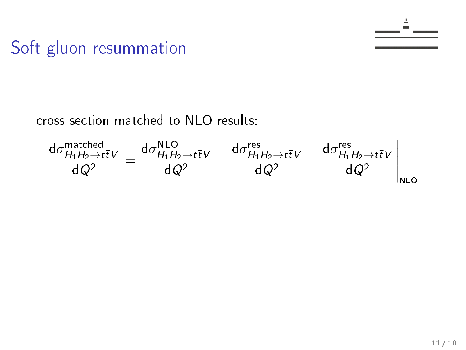

$$
\frac{d\sigma_{H_1H_2\to t\bar{t}V}^{\text{matched}}}{dQ^2} = \frac{d\sigma_{H_1H_2\to t\bar{t}V}^{\text{NLO}}}{dQ^2} + \frac{d\sigma_{H_1H_2\to t\bar{t}V}^{\text{res}}}{dQ^2} - \frac{d\sigma_{H_1H_2\to t\bar{t}V}^{\text{res}}}{dQ^2}\Bigg|_{\text{NLO}}
$$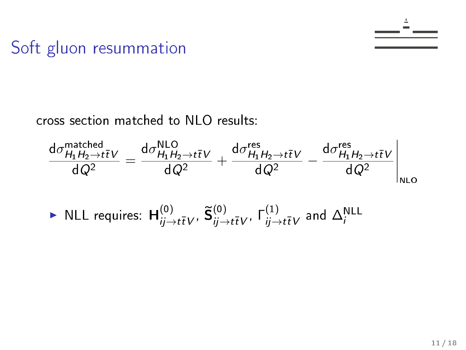

$$
\frac{d\sigma_{H_1H_2 \to t\bar{t}V}^{\text{matched}}}{dQ^2} = \frac{d\sigma_{H_1H_2 \to t\bar{t}V}^{\text{NLO}}}{dQ^2} + \frac{d\sigma_{H_1H_2 \to t\bar{t}V}^{\text{res}}}{dQ^2} - \frac{d\sigma_{H_1H_2 \to t\bar{t}V}^{\text{res}}}{dQ^2} \Big|_{\text{NLO}}
$$
\n• NLL requires: 
$$
H_{ij \to t\bar{t}V}^{(0)}, \tilde{S}_{ij \to t\bar{t}V}^{(0)}, \Gamma_{ij \to t\bar{t}V}^{(1)}
$$
 and 
$$
\Delta_i^{\text{NLL}}
$$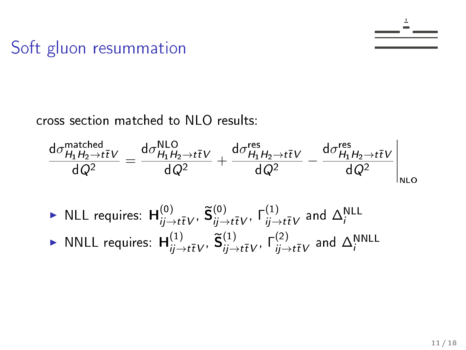$$
\frac{d\sigma_{H_1H_2\to t\bar{t}V}^{\text{matched}}}{dQ^2} = \frac{d\sigma_{H_1H_2\to t\bar{t}V}^{\text{NLO}}}{dQ^2} + \frac{d\sigma_{H_1H_2\to t\bar{t}V}^{\text{res}}}{dQ^2} - \frac{d\sigma_{H_1H_2\to t\bar{t}V}^{\text{res}}}{dQ^2}\bigg|_{\text{NLO}}
$$

- $\blacktriangleright$  NLL requires:  $\mathsf{H}^{(0)}_{ij \to t\bar{t}V'}$ ,  $\widetilde{\mathsf{S}}^{(0)}_{ij \to t\bar{t}V'}$ ,  $\mathsf{\Gamma}^{(1)}_{ij \to t\bar{t}V}$  and  $\Delta^{\mathsf{NLL}}_i$
- $\blacktriangleright$  NNLL requires:  $\mathsf{H}_{ij \to t\bar{t}V}^{(1)}, \, \widetilde{\mathsf{S}}_{ij \to t\bar{t}V}^{(1)}, \, \mathsf{\Gamma}_{ij \to t\bar{t}V}^{(2)}$  and  $\Delta_{i}^{\mathsf{NNLL}}$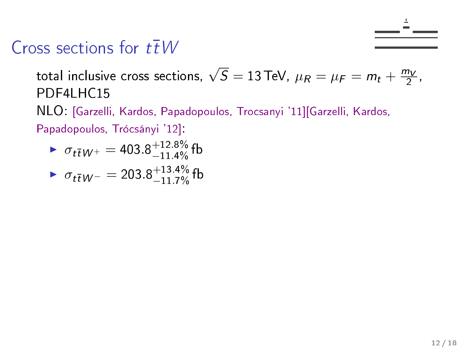

total inclusive cross sections,  $\sqrt{S}=13$  TeV,  $\mu_R=\mu_F=m_t+\frac{m_V}{2}$  $\frac{1}{2}$ , PDF4LHC15

NLO: [Garzelli, Kardos, Papadopoulos, Trocsanyi '11][Garzelli, Kardos,

Papadopoulos, Trócsányi '12]:

$$
\sigma_{t\bar{t}}W^{+} = 403.8^{+12.8\%}_{-11.4\%} \text{ fb}
$$
  
 
$$
\sigma_{t\bar{t}}W^{-} = 203.8^{+13.4\%}_{-11.7\%} \text{fb}
$$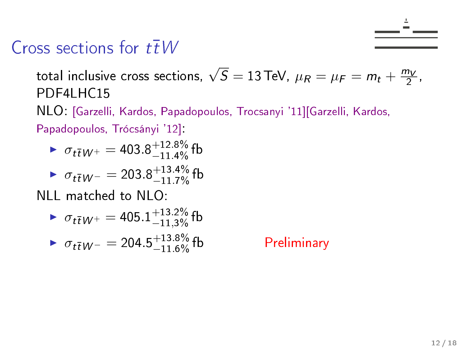

total inclusive cross sections,  $\sqrt{S}=13$  TeV,  $\mu_R=\mu_F=m_t+\frac{m_V}{2}$  $\frac{1}{2}$ , PDF4LHC15

NLO: [Garzelli, Kardos, Papadopoulos, Trocsanyi '11][Garzelli, Kardos,

Papadopoulos, Trócsányi '12]:

$$
\sigma_{t\bar{t}W^{+}} = 403.8^{+12.8\%}_{-11.4\%} \text{ fb}
$$
  
 
$$
\sigma_{t\bar{t}W^{-}} = 203.8^{+13.4\%}_{-11.7\%} \text{fb}
$$

NLL matched to NLO:

$$
\sigma_{t\bar{t}W^{+}} = 405.1^{+13.2\%}_{-11,3\%} \text{fb}
$$

$$
\sigma_{t\bar{t}W^{-}} = 204.5^{+13.8\%}_{-11.6\%} \text{fb}
$$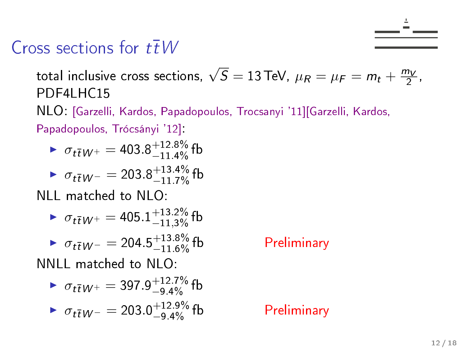

total inclusive cross sections,  $\sqrt{S}=13$  TeV,  $\mu_R=\mu_F=m_t+\frac{m_V}{2}$  $\frac{1}{2}$ , PDF4LHC15

NLO: [Garzelli, Kardos, Papadopoulos, Trocsanyi '11][Garzelli, Kardos,

Papadopoulos, Trócsányi '12]:

$$
\sigma_{t\bar{t}W^{+}} = 403.8^{+12.8\%}_{-11.4\%} \text{ fb}
$$
  
 
$$
\sigma_{t\bar{t}W^{-}} = 203.8^{+13.4\%}_{-11.7\%} \text{fb}
$$

NLL matched to NLO:

$$
\triangleright \ \sigma_{t\overline{t}W^+}=405.1^{+13.2\%}_{-11,3\%} \,\text{fb}
$$

$$
\bullet \ \sigma_{t\bar{t}W^{-}} = 204.5^{+13.8\%}_{-11.6\%} \text{ fb}
$$

NNLL matched to NLO:

► 
$$
\sigma_{t\bar{t}W^+}
$$
 = 397.9<sup>+12.7%</sup>fb  
\n►  $\sigma_{t\bar{t}W^-}$  = 203.0<sup>+12.9%</sup>fb  
\n►  $\sigma_{t\bar{t}W^-}$  = 203.0<sup>+12.9%</sup>fb

#### Preliminary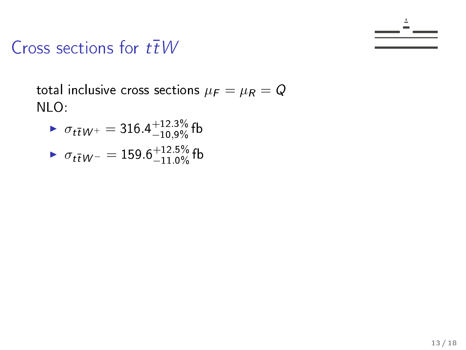

total inclusive cross sections  $\mu_F = \mu_R = Q$ NLO:

$$
\sigma_{t\bar{t}W^{+}} = 316.4^{+12.3\%}_{-10.9\%} \text{ fb}
$$
  
 
$$
\sigma_{t\bar{t}W^{-}} = 159.6^{+12.5\%}_{-11.0\%} \text{fb}
$$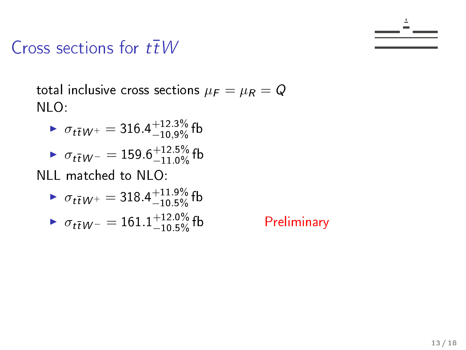

total inclusive cross sections  $\mu_F = \mu_R = Q$ NLO:

$$
\sigma_{t\bar{t}W^{+}} = 316.4^{+12.3\%}_{-10,9\%} \text{ fb}
$$
  
 
$$
\sigma_{t\bar{t}W^{-}} = 159.6^{+12.5\%}_{-11.0\%} \text{fb}
$$

NLL matched to NLO:

► 
$$
\sigma_{t\bar{t}W^+}
$$
 = 318.4<sup>+11.9%</sup><sub>10.5%</sub> fb  
\n►  $\sigma_{t\bar{t}W^-}$  = 161.1<sup>+12.0%</sup><sub>0</sub> fb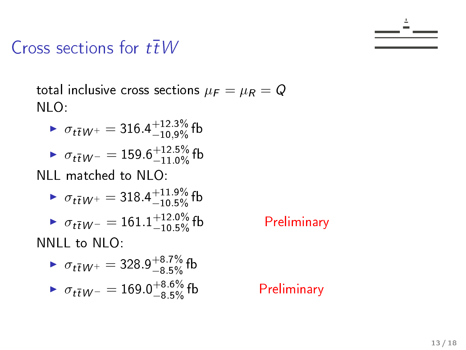

total inclusive cross sections  $\mu_F = \mu_R = Q$ NLO:

$$
\sigma_{t\bar{t}W^{+}} = 316.4^{+12.3\%}_{-10.9\%} \text{ fb}
$$
  
 
$$
\sigma_{t\bar{t}W^{-}} = 159.6^{+12.5\%}_{-11.0\%} \text{fb}
$$

NLL matched to NLO:

► 
$$
\sigma_{t\bar{t}W^+}
$$
 = 318.4<sup>+11.9%</sup> fb  
\n►  $\sigma_{t\bar{t}W^-}$  = 161.1<sup>+12.0%</sup> fb  
\nNIL to NLO.

NNLL to NLO:

► 
$$
\sigma_{t\bar{t}W^+} = 328.9^{+8.7\%}_{-8.5\%}
$$
fb  
▶  $\sigma_{t\bar{t}W^-} = 169.0^{+8.6\%}_{-8.5\%}$ fb

Preliminary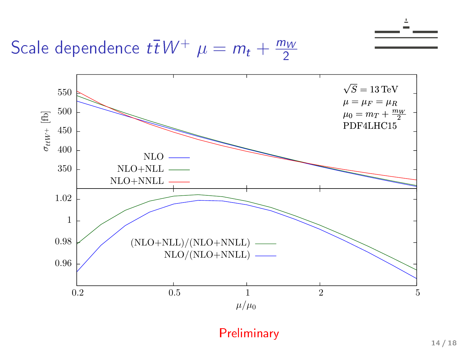Scale dependence  $t\bar{t}W^+ \mu = m_t + \frac{m_W}{2}$ 2

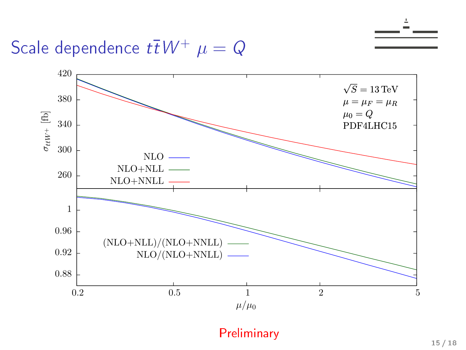Scale dependence  $t\bar{t}W^+ \mu = Q$ 

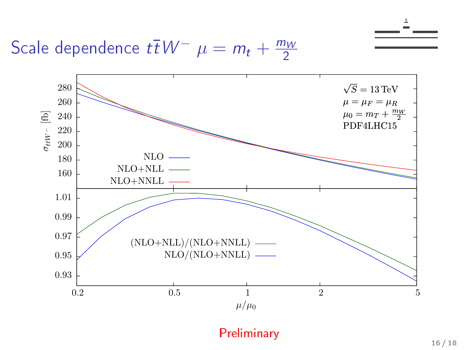Scale dependence  $t\bar{t}W^ \mu = m_t + \frac{m_W}{2}$ 2

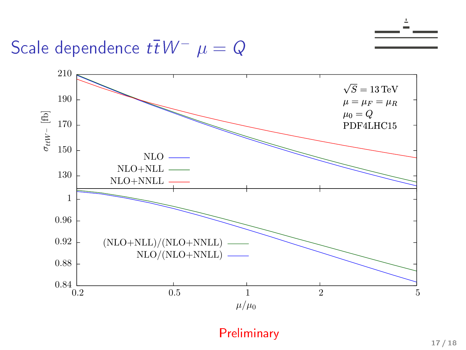Scale dependence  $t\bar{t}W^- \mu = Q$ 

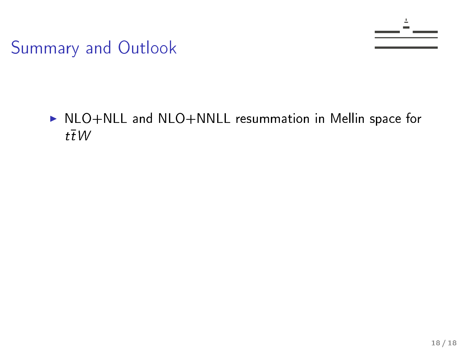

#### ▶ NLO+NLL and NLO+NNLL resummation in Mellin space for  $t\bar{t}$  W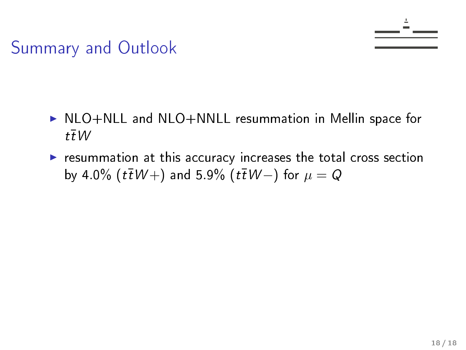- ▶ NLO+NLL and NLO+NNLL resummation in Mellin space for  $t\bar{t}W$
- $\triangleright$  resummation at this accuracy increases the total cross section by 4.0% (t $\bar{t}W$  +) and 5.9% (t $\bar{t}W$  –) for  $\mu=Q$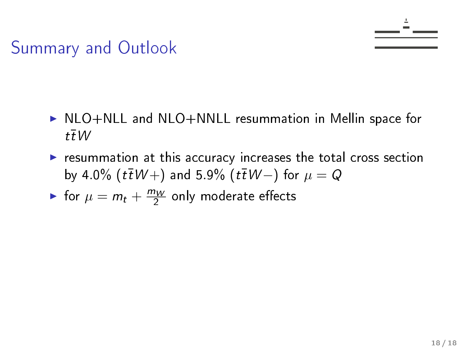- $\triangleright$  NLO+NLL and NLO+NNLL resummation in Mellin space for  $t\bar{t}W$
- $\triangleright$  resummation at this accuracy increases the total cross section by 4.0% (t $\bar{t}W$  +) and 5.9% (t $\bar{t}W$  –) for  $\mu=Q$
- If for  $\mu = m_t + \frac{m_W}{2}$  $\frac{7W}{2}$  only moderate effects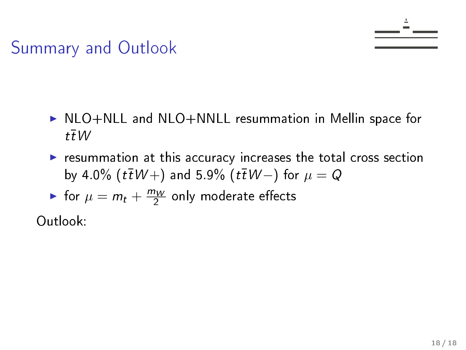- $\triangleright$  NLO+NLL and NLO+NNLL resummation in Mellin space for  $t\bar{t}W$
- $\triangleright$  resummation at this accuracy increases the total cross section by 4.0% (t $\bar{t}W$  +) and 5.9% (t $\bar{t}W$  –) for  $\mu=Q$
- If for  $\mu = m_t + \frac{m_W}{2}$  $\frac{7W}{2}$  only moderate effects

Outlook: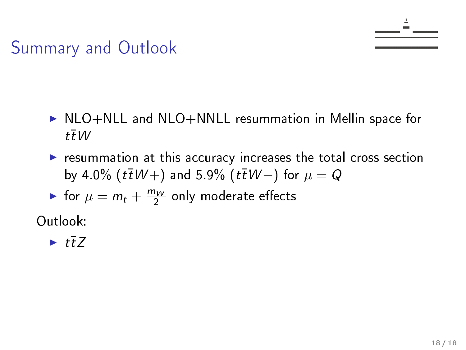- $\triangleright$  NLO+NLL and NLO+NNLL resummation in Mellin space for  $t\bar{t}W$
- $\triangleright$  resummation at this accuracy increases the total cross section by 4.0% (t $\bar{t}W$  +) and 5.9% (t $\bar{t}W$  –) for  $\mu=Q$

If for  $\mu = m_t + \frac{m_W}{2}$  $\frac{7W}{2}$  only moderate effects

Outlook:

#### $\blacktriangleright$  tt<sup> $7$ </sup>